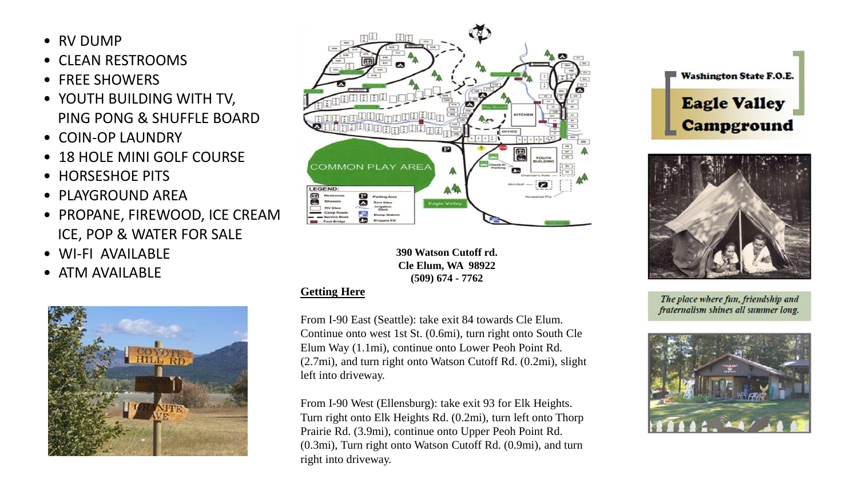- RV DUMP
- CLEAN RESTROOMS
- FREE SHOWERS
- YOUTH BUILDING WITH TV, PING PONG & SHUFFLE BOARD
- COIN-OP LAUNDRY
- 18 HOLE MINI GOLF COURSE
- HORSESHOF PITS
- PLAYGROUND AREA
- PROPANE, FIREWOOD, ICE CREAM ICE, POP & WATER FOR SALE
- WI-FI AVAILABLE
- ATM AVAILABLE





**390 Watson Cutoff rd. Cle Elum, WA 98922 (509) 674 - 7762**

#### **Getting Here**

From I-90 East (Seattle): take exit 84 towards Cle Elum. Continue onto west 1st St. (0.6mi), turn right onto South Cle Elum Way (1.1mi), continue onto Lower Peoh Point Rd. (2.7mi), and turn right onto Watson Cutoff Rd. (0.2mi), slight left into driveway.

From I-90 West (Ellensburg): take exit 93 for Elk Heights. Turn right onto Elk Heights Rd. (0.2mi), turn left onto Thorp Prairie Rd. (3.9mi), continue onto Upper Peoh Point Rd. (0.3mi), Turn right onto Watson Cutoff Rd. (0.9mi), and turn right into driveway.





The place where fun, friendship and fraternalism shines all summer long.